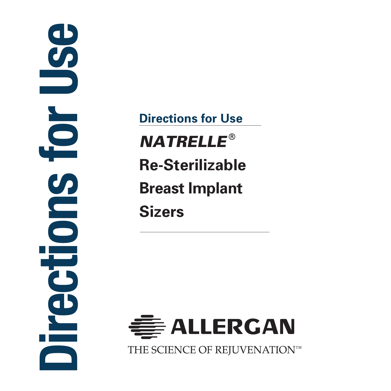Directions for Use  $\overline{\phantom{a}}$ Sul 

NATRELLE ® **Re-Sterilizable Breast Implant Sizers Directions for Use**

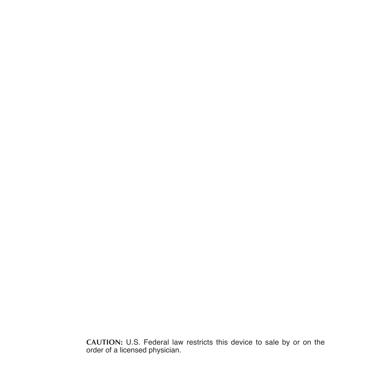**CAUTION:** U.S. Federal law restricts this device to sale by or on the order of a licensed physician.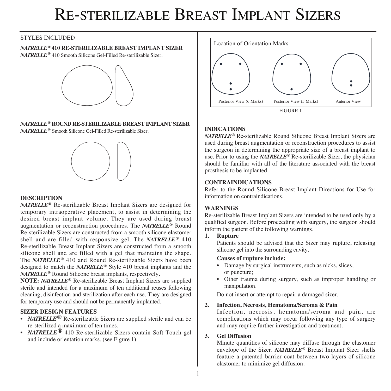# Re-sterilizable Breast Implant Sizers

## STYLES INCLUDED

# *NATRELLE***® 410 RE-STERILIZABLE BREAST IMPLANT SIZER**

*NATRELLE***®** 410 Smooth Silicone Gel-Filled Re-sterilizable Sizer.



*NATRELLE***® ROUND RE-STERILIZABLE BREAST IMPLANT SIZER**  *NATRELLE***®** Smooth Silicone Gel-Filled Re-sterilizable Sizer.



## **DESCRIPTION**

*NATRELLE***®** Re-sterilizable Breast Implant Sizers are designed for temporary intraoperative placement, to assist in determining the desired breast implant volume. They are used during breast augmentation or reconstruction procedures. The *NATRELLE***®** Round Re-sterilizable Sizers are constructed from a smooth silicone elastomer shell and are filled with responsive gel. The *NATRELLE***®** 410 Re-sterilizable Breast Implant Sizers are constructed from a smooth silicone shell and are filled with a gel that maintains the shape. The *NATRELLE***®** 410 and Round Re-sterilizable Sizers have been designed to match the *NATRELLE***®** Style 410 breast implants and the *NATRELLE***®** Round Silicone breast implants, respectively.

**NOTE:** *NATRELLE***®** Re-sterilizable Breast Implant Sizers are supplied sterile and intended for a maximum of ten additional reuses following cleaning, disinfection and sterilization after each use. They are designed for temporary use and should not be permanently implanted.

#### **SIZER DESIGN FEATURES**

- *NATRELLE***®** Re-sterilizable Sizers are supplied sterile and can be re-sterilized a maximum of ten times.
- *NATRELLE***®** 410 Re-sterilizable Sizers contain Soft Touch gel and include orientation marks. (see Figure 1)



## **INDICATIONS**

*NATRELLE***®** Re-sterilizable Round Silicone Breast Implant Sizers are used during breast augmentation or reconstruction procedures to assist the surgeon in determining the appropriate size of a breast implant to use. Prior to using the *NATRELLE***®** Re-sterilizable Sizer, the physician should be familiar with all of the literature associated with the breast prosthesis to be implanted.

#### **CONTRAINDICATIONS**

Refer to the Round Silicone Breast Implant Directions for Use for information on contraindications.

## **WARNINGS**

Re-sterilizable Breast Implant Sizers are intended to be used only by a qualified surgeon. Before proceeding with surgery, the surgeon should inform the patient of the following warnings.<br>1. Rupture

**1. Rupture**

Patients should be advised that the Sizer may rupture, releasing silicone gel into the surrounding cavity.

#### **Causes of rupture include:**

- Damage by surgical instruments, such as nicks, slices, or puncture;
- Other trauma during surgery, such as improper handling or manipulation.

Do not insert or attempt to repair a damaged sizer.

#### **2. Infection, Necrosis, Hematoma/Seroma & Pain**

Infection, necrosis, hematoma/seroma and pain, are complications which may occur following any type of surgery and may require further investigation and treatment.

#### **3. Gel Diffusion**

Minute quantities of silicone may diffuse through the elastomer envelope of the Sizer. *NATRELLE***®** Breast Implant Sizer shells feature a patented barrier coat between two layers of silicone elastomer to minimize gel diffusion.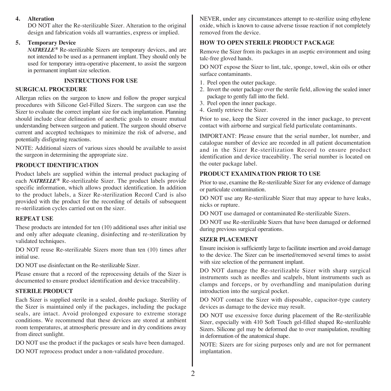## **4. Alteration**

DO NOT alter the Re-sterilizable Sizer. Alteration to the original design and fabrication voids all warranties, express or implied.

#### **5. Temporary Device**

*NATRELLE***®** Re-sterilizable Sizers are temporary devices, and are not intended to be used as a permanent implant. They should only be used for temporary intra-operative placement, to assist the surgeon in permanent implant size selection.

## **INSTRUCTIONS FOR USE**

#### **SURGICAL PROCEDURE**

Allergan relies on the surgeon to know and follow the proper surgical procedures with Silicone Gel-Filled Sizers. The surgeon can use the Sizer to evaluate the correct implant size for each implantation. Planning should include clear delineation of aesthetic goals to ensure mutual understanding between surgeon and patient. The surgeon should observe current and accepted techniques to minimize the risk of adverse, and potentially disfiguring reactions.

NOTE: Additional sizers of various sizes should be available to assist the surgeon in determining the appropriate size.

## **PRODUCT IDENTIFICATION**

Product labels are supplied within the internal product packaging of each *NATRELLE***®** Re-sterilizable Sizer. The product labels provide specific information, which allows product identification. In addition to the product labels, a Sizer Re-sterilization Record Card is also provided with the product for the recording of details of subsequent re-sterilization cycles carried out on the sizer.

#### **REPEAT USE**

These products are intended for ten (10) additional uses after initial use and only after adequate cleaning, disinfecting and re-sterilization by validated techniques.

DO NOT reuse Re-sterilizable Sizers more than ten (10) times after initial use.

DO NOT use disinfectant on the Re-sterilizable Sizer.

Please ensure that a record of the reprocessing details of the Sizer is documented to ensure product identification and device traceability.

## **STERILE PRODUCT**

Each Sizer is supplied sterile in a sealed, double package. Sterility of the Sizer is maintained only if the packages, including the package seals, are intact. Avoid prolonged exposure to extreme storage conditions. We recommend that these devices are stored at ambient room temperatures, at atmospheric pressure and in dry conditions away from direct sunlight.

DO NOT use the product if the packages or seals have been damaged. DO NOT reprocess product under a non-validated procedure.

NEVER, under any circumstances attempt to re-sterilize using ethylene oxide, which is known to cause adverse tissue reaction if not completely removed from the device.

## **HOW TO OPEN STERILE PRODUCT PACKAGE**

Remove the Sizer from its packages in an aseptic environment and using talc-free gloved hands.

DO NOT expose the Sizer to lint, talc, sponge, towel, skin oils or other surface contaminants.

- 1. Peel open the outer package.
- 2. Invert the outer package over the sterile field, allowing the sealed inner package to gently fall into the field.
- 3. Peel open the inner package.
- 4. Gently retrieve the Sizer.

Prior to use, keep the Sizer covered in the inner package, to prevent contact with airborne and surgical field particulate contaminants.

IMPORTANT: Please ensure that the serial number, lot number, and catalogue number of device are recorded in all patient documentation and in the Sizer Re-sterilization Record to ensure product identification and device traceability. The serial number is located on the outer package label.

## **PRODUCT EXAMINATION PRIOR TO USE**

Prior to use, examine the Re-sterilizable Sizer for any evidence of damage or particulate contamination.

DO NOT use any Re-sterilizable Sizer that may appear to have leaks, nicks or rupture.

DO NOT use damaged or contaminated Re-sterilizable Sizers.

DO NOT use Re-sterilizable Sizers that have been damaged or deformed during previous surgical operations.

#### **SIZER PLACEMENT**

Ensure incision is sufficiently large to facilitate insertion and avoid damage to the device. The Sizer can be inserted/removed several times to assist with size selection of the permanent implant.

DO NOT damage the Re-sterilizable Sizer with sharp surgical instruments such as needles and scalpels, blunt instruments such as clamps and forceps, or by overhandling and manipulation during introduction into the surgical pocket.

DO NOT contact the Sizer with disposable, capacitor-type cautery devices as damage to the device may result.

DO NOT use excessive force during placement of the Re-sterilizable Sizer, especially with 410 Soft Touch gel-filled shaped Re-sterilizable Sizers. Silicone gel may be deformed due to over manipulation, resulting in deformation of the anatomical shape.

NOTE: Sizers are for sizing purposes only and are not for permanent implantation.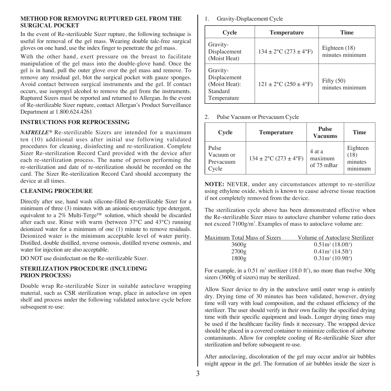#### **METHOD FOR REMOVING RUPTURED GEL FROM THE SURGICAL POCKET**

In the event of Re-sterilizable Sizer rupture, the following technique is useful for removal of the gel mass. Wearing double talc-free surgical gloves on one hand, use the index finger to penetrate the gel mass.

With the other hand, exert pressure on the breast to facilitate manipulation of the gel mass into the double-glove hand. Once the gel is in hand, pull the outer glove over the gel mass and remove. To remove any residual gel, blot the surgical pocket with gauze sponges. Avoid contact between surgical instruments and the gel. If contact occurs, use isopropyl alcohol to remove the gel from the instruments. Ruptured Sizers must be reported and returned to Allergan. In the event of Re-sterilizable Sizer rupture, contact Allergan's Product Surveillance Department at 1.800.624.4261

#### **INSTRUCTIONS FOR REPROCESSING**

*NATRELLE***®** Re-sterilizable Sizers are intended for a maximum ten (10) additional uses after initial use following validated procedures for cleaning, disinfecting and re-sterilization. Complete Sizer Re-sterilization Record Card provided with the device after each re-sterilization process. The name of person performing the re-sterilization and date of re-sterilization should be recorded on the card. The Sizer Re-sterilization Record Card should accompany the device at all times.

## **CLEANING PROCEDURE**

Directly after use, hand wash silicone-filled Re-sterilizable Sizer for a minimum of three (3) minutes with an anionic-enzymatic type detergent, equivalent to a 2% Multi-Terge™ solution, which should be discarded after each use. Rinse with warm (between 37°C and 43°C) running deionized water for a minimum of one (1) minute to remove residuals. Deionized water is the minimum acceptable level of water purity. Distilled, double distilled, reverse osmosis, distilled reverse osmosis, and water for injection are also acceptable.

DO NOT use disinfectant on the Re-sterilizable Sizer.

#### **STERILIZATION PROCEDURE (INCLUDING PRION PROCESS)**

Double wrap Re-sterilizable Sizer in suitable autoclave wrapping material, such as CSR sterilization wrap, place in autoclave on open shelf and process under the following validated autoclave cycle before subsequent re-use:

1. Gravity-Displacement Cycle

| Cycle                                                                | <b>Temperature</b>         | <b>Time</b>                        |
|----------------------------------------------------------------------|----------------------------|------------------------------------|
| Gravity-<br>Displacement<br>(Moist Heat)                             | $134 \pm 2$ °C (273 ± 4°F) | Eighteen $(18)$<br>minutes minimum |
| Gravity-<br>Displacement<br>(Moist Heat):<br>Standard<br>Temperature | $121 \pm 2$ °C (250 ± 4°F) | Fifty $(50)$<br>minutes minimum    |

2. Pulse Vacuum or Prevacuum Cycle

| Cycle                                    | <b>Temperature</b>         | Pulse<br><b>Vacuums</b>         | Time                                   |
|------------------------------------------|----------------------------|---------------------------------|----------------------------------------|
| Pulse<br>Vacuum or<br>Prevacuum<br>Cycle | $134 \pm 2$ °C (273 ± 4°F) | 4 at a<br>maximum<br>of 75 mBar | Eighteen<br>(18)<br>minutes<br>minimum |

**NOTE:** NEVER, under any circumstances attempt to re-sterilize using ethylene oxide, which is known to cause adverse tissue reaction if not completely removed from the device.

The sterilization cycle above has been demonstrated effective when the Re-sterilizable Sizer mass to autoclave chamber volume ratio does not exceed 7100g/m<sup>3</sup>. Examples of mass to autoclave volume are:

| Maximum Total Mass of Sizers | Volume of Autoclave Sterilizer  |
|------------------------------|---------------------------------|
| 3600g                        | $0.51m^3(18.0ft^3)$             |
| 2700g                        | $0.41m3$ (14.5ft <sup>3</sup> ) |
| 1800g                        | $0.31m^3(10.9ft^3)$             |

For example, in a  $0.51 \text{ m}^3$  sterilizer (18.0 ft<sup>3</sup>), no more than twelve 300g sizers (3600g of sizers) may be sterilized.

Allow Sizer device to dry in the autoclave until outer wrap is entirely dry. Drying time of 30 minutes has been validated, however, drying time will vary with load composition, and the exhaust efficiency of the sterilizer. The user should verify in their own facility the specified drying time with their specific equipment and loads. Longer drying times may be used if the healthcare facility finds it necessary. The wrapped device should be placed in a covered container to minimize collection of airborne contaminants. Allow for complete cooling of Re-sterilizable Sizer after sterilization and before subsequent re-use.

After autoclaving, discoloration of the gel may occur and/or air bubbles might appear in the gel. The formation of air bubbles inside the sizer is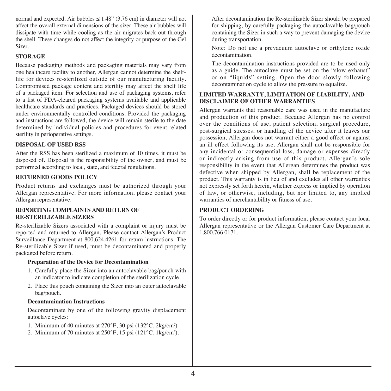normal and expected. Air bubbles  $\leq 1.48$ " (3.76 cm) in diameter will not affect the overall external dimensions of the sizer. These air bubbles will dissipate with time while cooling as the air migrates back out through the shell. These changes do not affect the integrity or purpose of the Gel Sizer.

## **STORAGE**

Because packaging methods and packaging materials may vary from one healthcare facility to another, Allergan cannot determine the shelflife for devices re-sterilized outside of our manufacturing facility. Compromised package content and sterility may affect the shelf life of a packaged item. For selection and use of packaging systems, refer to a list of FDA-cleared packaging systems available and applicable healthcare standards and practices. Packaged devices should be stored under environmentally controlled conditions. Provided the packaging and instructions are followed, the device will remain sterile to the date determined by individual policies and procedures for event-related sterility in perioperative settings.

#### **DISPOSAL OF USED RSS**

After the RSS has been sterilized a maximum of 10 times, it must be disposed of. Disposal is the responsibility of the owner, and must be performed according to local, state, and federal regulations.

## **RETURNED GOODS POLICY**

Product returns and exchanges must be authorized through your Allergan representative. For more information, please contact your Allergan representative.

#### **REPORTING COMPLAINTS AND RETURN OF RE-STERILIZABLE SIZERS**

Re-sterilizable Sizers associated with a complaint or injury must be reported and returned to Allergan. Please contact Allergan's Product Surveillance Department at 800.624.4261 for return instructions. The Re-sterilizable Sizer if used, must be decontaminated and properly packaged before return.

#### **Preparation of the Device for Decontamination**

- 1. Carefully place the Sizer into an autoclavable bag/pouch with an indicator to indicate completion of the sterilization cycle.
- 2. Place this pouch containing the Sizer into an outer autoclavable bag/pouch.

#### **Decontamination Instructions**

Decontaminate by one of the following gravity displacement autoclave cycles:

- 1. Minimum of 40 minutes at 270°F, 30 psi (132°C, 2kg/cm2 )
- 2. Minimum of 70 minutes at 250°F, 15 psi (121°C, 1kg/cm2 ).

After decontamination the Re-sterilizable Sizer should be prepared for shipping, by carefully packaging the autoclavable bag/pouch containing the Sizer in such a way to prevent damaging the device during transportation.

Note: Do not use a prevacuum autoclave or orthylene oxide decontamination.

The decontamination instructions provided are to be used only as a guide. The autoclave must be set on the "slow exhaust" or on "liquids" setting. Open the door slowly following decontamination cycle to allow the pressure to equalize.

#### **LIMITED WARRANTY, LIMITATION OF LIABILITY, AND DISCLAIMER OF OTHER WARRANTIES**

Allergan warrants that reasonable care was used in the manufacture and production of this product. Because Allergan has no control over the conditions of use, patient selection, surgical procedure, post-surgical stresses, or handling of the device after it leaves our possession, Allergan does not warrant either a good effect or against an ill effect following its use. Allergan shall not be responsible for any incidental or consequential loss, damage or expenses directly or indirectly arising from use of this product. Allergan's sole responsibility in the event that Allergan determines the product was defective when shipped by Allergan, shall be replacement of the product. This warranty is in lieu of and excludes all other warranties not expressly set forth herein, whether express or implied by operation of law, or otherwise, including, but nor limited to, any implied warranties of merchantability or fitness of use.

## **PRODUCT ORDERING**

To order directly or for product information, please contact your local Allergan representative or the Allergan Customer Care Department at 1.800.766.0171.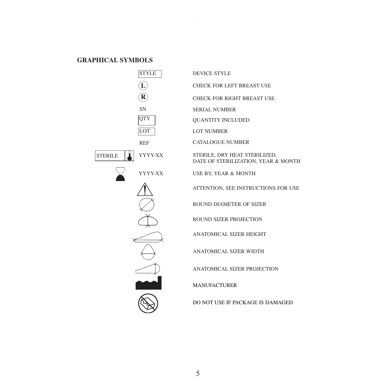## **GRAPHICAL SYMBOLS**



| <b>DEVICE STYLE</b>                                                  |
|----------------------------------------------------------------------|
| CHECK FOR LEFT BREAST USE                                            |
| <b>CHECK FOR RIGHT BREAST USE</b>                                    |
| <b>SERIAL NUMBER</b>                                                 |
| <b>OUANTITY INCLUDED</b>                                             |
| <b>LOT NUMBER</b>                                                    |
| <b>CATALOGUE NUMBER</b>                                              |
| STERILE, DRY HEAT STERILIZED.<br>DATE OF STERILIZATION, YEAR & MONTH |
| <b>USE BY. YEAR &amp; MONTH</b>                                      |
| ATTENTION, SEE INSTRUCTIONS FOR USE                                  |
| <b>ROUND DIAMETER OF SIZER</b>                                       |
| ROUND SIZER PROJECTION                                               |
| <b>ANATOMICAL SIZER HEIGHT</b>                                       |
| <b>ANATOMICAL SIZER WIDTH</b>                                        |
| <b>ANATOMICAL SIZER PROJECTION</b>                                   |
| <b>MANUFACTURER</b>                                                  |
| DO NOT USE IF PACKAGE IS DAMAGED                                     |